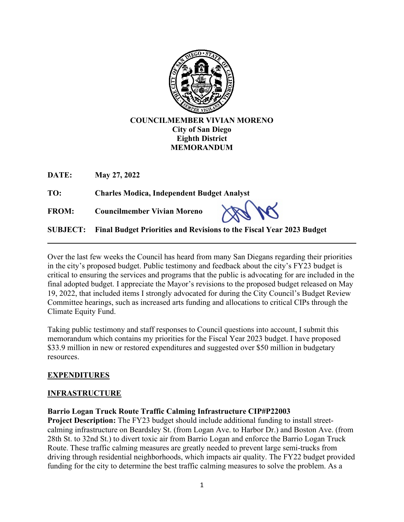

## **COUNCILMEMBER VIVIAN MORENO City of San Diego Eighth District MEMORANDUM**

**DATE: May 27, 2022** 

**TO: Charles Modica, Independent Budget Analyst**

**FROM: Councilmember Vivian Moreno**

**SUBJECT: Final Budget Priorities and Revisions to the Fiscal Year 2023 Budget**

Over the last few weeks the Council has heard from many San Diegans regarding their priorities in the city's proposed budget. Public testimony and feedback about the city's FY23 budget is critical to ensuring the services and programs that the public is advocating for are included in the final adopted budget. I appreciate the Mayor's revisions to the proposed budget released on May 19, 2022, that included items I strongly advocated for during the City Council's Budget Review Committee hearings, such as increased arts funding and allocations to critical CIPs through the Climate Equity Fund.

Taking public testimony and staff responses to Council questions into account, I submit this memorandum which contains my priorities for the Fiscal Year 2023 budget. I have proposed \$33.9 million in new or restored expenditures and suggested over \$50 million in budgetary resources.

# **EXPENDITURES**

# **INFRASTRUCTURE**

**Barrio Logan Truck Route Traffic Calming Infrastructure CIP#P22003** 

**Project Description:** The FY23 budget should include additional funding to install streetcalming infrastructure on Beardsley St. (from Logan Ave. to Harbor Dr.) and Boston Ave. (from 28th St. to 32nd St.) to divert toxic air from Barrio Logan and enforce the Barrio Logan Truck Route. These traffic calming measures are greatly needed to prevent large semi-trucks from driving through residential neighborhoods, which impacts air quality. The FY22 budget provided funding for the city to determine the best traffic calming measures to solve the problem. As a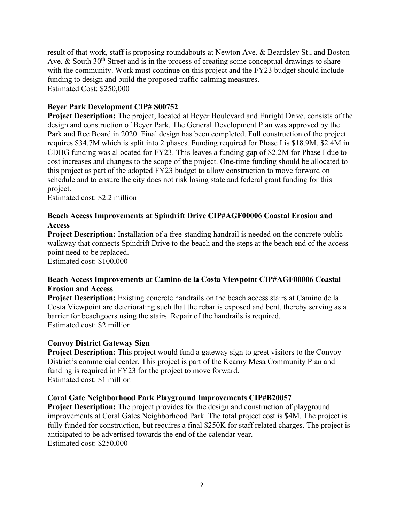result of that work, staff is proposing roundabouts at Newton Ave. & Beardsley St., and Boston Ave. & South  $30<sup>th</sup>$  Street and is in the process of creating some conceptual drawings to share with the community. Work must continue on this project and the FY23 budget should include funding to design and build the proposed traffic calming measures. Estimated Cost: \$250,000

### **Beyer Park Development CIP# S00752**

**Project Description:** The project, located at Beyer Boulevard and Enright Drive, consists of the design and construction of Beyer Park. The General Development Plan was approved by the Park and Rec Board in 2020. Final design has been completed. Full construction of the project requires \$34.7M which is split into 2 phases. Funding required for Phase I is \$18.9M. \$2.4M in CDBG funding was allocated for FY23. This leaves a funding gap of \$2.2M for Phase I due to cost increases and changes to the scope of the project. One-time funding should be allocated to this project as part of the adopted FY23 budget to allow construction to move forward on schedule and to ensure the city does not risk losing state and federal grant funding for this project.

Estimated cost: \$2.2 million

### **Beach Access Improvements at Spindrift Drive CIP#AGF00006 Coastal Erosion and Access**

**Project Description:** Installation of a free-standing handrail is needed on the concrete public walkway that connects Spindrift Drive to the beach and the steps at the beach end of the access point need to be replaced.

Estimated cost: \$100,000

### **Beach Access Improvements at Camino de la Costa Viewpoint CIP#AGF00006 Coastal Erosion and Access**

**Project Description:** Existing concrete handrails on the beach access stairs at Camino de la Costa Viewpoint are deteriorating such that the rebar is exposed and bent, thereby serving as a barrier for beachgoers using the stairs. Repair of the handrails is required. Estimated cost: \$2 million

#### **Convoy District Gateway Sign**

**Project Description:** This project would fund a gateway sign to greet visitors to the Convoy District's commercial center. This project is part of the Kearny Mesa Community Plan and funding is required in FY23 for the project to move forward. Estimated cost: \$1 million

#### **Coral Gate Neighborhood Park Playground Improvements CIP#B20057**

**Project Description:** The project provides for the design and construction of playground improvements at Coral Gates Neighborhood Park. The total project cost is \$4M. The project is fully funded for construction, but requires a final \$250K for staff related charges. The project is anticipated to be advertised towards the end of the calendar year. Estimated cost: \$250,000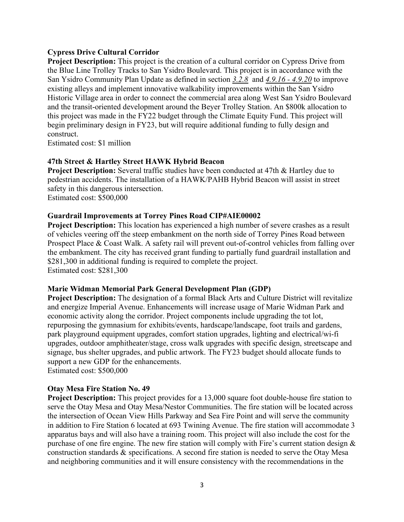#### **Cypress Drive Cultural Corridor**

**Project Description:** This project is the creation of a cultural corridor on Cypress Drive from the Blue Line Trolley Tracks to San Ysidro Boulevard. This project is in accordance with the San Ysidro Community Plan Update as defined in section *3.2.8* and *4.9.16 - 4.9.20* to improve existing alleys and implement innovative walkability improvements within the San Ysidro Historic Village area in order to connect the commercial area along West San Ysidro Boulevard and the transit-oriented development around the Beyer Trolley Station. An \$800k allocation to this project was made in the FY22 budget through the Climate Equity Fund. This project will begin preliminary design in FY23, but will require additional funding to fully design and construct.

Estimated cost: \$1 million

### **47th Street & Hartley Street HAWK Hybrid Beacon**

**Project Description:** Several traffic studies have been conducted at 47th & Hartley due to pedestrian accidents. The installation of a HAWK/PAHB Hybrid Beacon will assist in street safety in this dangerous intersection. Estimated cost: \$500,000

#### **Guardrail Improvements at Torrey Pines Road CIP#AIE00002**

**Project Description:** This location has experienced a high number of severe crashes as a result of vehicles veering off the steep embankment on the north side of Torrey Pines Road between Prospect Place & Coast Walk. A safety rail will prevent out-of-control vehicles from falling over the embankment. The city has received grant funding to partially fund guardrail installation and \$281,300 in additional funding is required to complete the project. Estimated cost: \$281,300

#### **Marie Widman Memorial Park General Development Plan (GDP)**

**Project Description:** The designation of a formal Black Arts and Culture District will revitalize and energize Imperial Avenue. Enhancements will increase usage of Marie Widman Park and economic activity along the corridor. Project components include upgrading the tot lot, repurposing the gymnasium for exhibits/events, hardscape/landscape, foot trails and gardens, park playground equipment upgrades, comfort station upgrades, lighting and electrical/wi-fi upgrades, outdoor amphitheater/stage, cross walk upgrades with specific design, streetscape and signage, bus shelter upgrades, and public artwork. The FY23 budget should allocate funds to support a new GDP for the enhancements.

Estimated cost: \$500,000

#### **Otay Mesa Fire Station No. 49**

**Project Description:** This project provides for a 13,000 square foot double-house fire station to serve the Otay Mesa and Otay Mesa/Nestor Communities. The fire station will be located across the intersection of Ocean View Hills Parkway and Sea Fire Point and will serve the community in addition to Fire Station 6 located at 693 Twining Avenue. The fire station will accommodate 3 apparatus bays and will also have a training room. This project will also include the cost for the purchase of one fire engine. The new fire station will comply with Fire's current station design & construction standards & specifications. A second fire station is needed to serve the Otay Mesa and neighboring communities and it will ensure consistency with the recommendations in the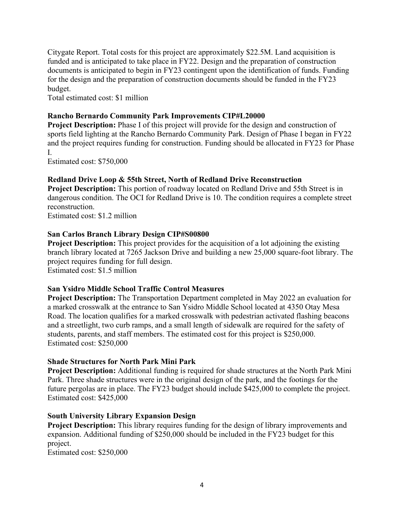Citygate Report. Total costs for this project are approximately \$22.5M. Land acquisition is funded and is anticipated to take place in FY22. Design and the preparation of construction documents is anticipated to begin in FY23 contingent upon the identification of funds. Funding for the design and the preparation of construction documents should be funded in the FY23 budget.

Total estimated cost: \$1 million

## **Rancho Bernardo Community Park Improvements CIP#L20000**

**Project Description:** Phase I of this project will provide for the design and construction of sports field lighting at the Rancho Bernardo Community Park. Design of Phase I began in FY22 and the project requires funding for construction. Funding should be allocated in FY23 for Phase I.

Estimated cost: \$750,000

## **Redland Drive Loop & 55th Street, North of Redland Drive Reconstruction**

**Project Description:** This portion of roadway located on Redland Drive and 55th Street is in dangerous condition. The OCI for Redland Drive is 10. The condition requires a complete street reconstruction.

Estimated cost: \$1.2 million

### **San Carlos Branch Library Design CIP#S00800**

**Project Description:** This project provides for the acquisition of a lot adjoining the existing branch library located at 7265 Jackson Drive and building a new 25,000 square-foot library. The project requires funding for full design. Estimated cost: \$1.5 million

#### **San Ysidro Middle School Traffic Control Measures**

**Project Description:** The Transportation Department completed in May 2022 an evaluation for a marked crosswalk at the entrance to San Ysidro Middle School located at 4350 Otay Mesa Road. The location qualifies for a marked crosswalk with pedestrian activated flashing beacons and a streetlight, two curb ramps, and a small length of sidewalk are required for the safety of students, parents, and staff members. The estimated cost for this project is \$250,000. Estimated cost: \$250,000

#### **Shade Structures for North Park Mini Park**

**Project Description:** Additional funding is required for shade structures at the North Park Mini Park. Three shade structures were in the original design of the park, and the footings for the future pergolas are in place. The FY23 budget should include \$425,000 to complete the project. Estimated cost: \$425,000

## **South University Library Expansion Design**

**Project Description:** This library requires funding for the design of library improvements and expansion. Additional funding of \$250,000 should be included in the FY23 budget for this project.

Estimated cost: \$250,000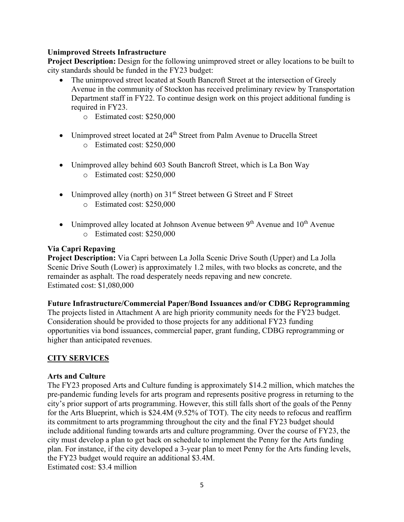### **Unimproved Streets Infrastructure**

**Project Description:** Design for the following unimproved street or alley locations to be built to city standards should be funded in the FY23 budget:

- The unimproved street located at South Bancroft Street at the intersection of Greely Avenue in the community of Stockton has received preliminary review by Transportation Department staff in FY22. To continue design work on this project additional funding is required in FY23.
	- o Estimated cost: \$250,000
- Unimproved street located at 24<sup>th</sup> Street from Palm Avenue to Drucella Street o Estimated cost: \$250,000
- Unimproved alley behind 603 South Bancroft Street, which is La Bon Way o Estimated cost: \$250,000
- Unimproved alley (north) on  $31<sup>st</sup>$  Street between G Street and F Street o Estimated cost: \$250,000
- Unimproved alley located at Johnson Avenue between  $9<sup>th</sup>$  Avenue and  $10<sup>th</sup>$  Avenue o Estimated cost: \$250,000

### **Via Capri Repaving**

**Project Description:** Via Capri between La Jolla Scenic Drive South (Upper) and La Jolla Scenic Drive South (Lower) is approximately 1.2 miles, with two blocks as concrete, and the remainder as asphalt. The road desperately needs repaving and new concrete. Estimated cost: \$1,080,000

#### **Future Infrastructure/Commercial Paper/Bond Issuances and/or CDBG Reprogramming**

The projects listed in Attachment A are high priority community needs for the FY23 budget. Consideration should be provided to those projects for any additional FY23 funding opportunities via bond issuances, commercial paper, grant funding, CDBG reprogramming or higher than anticipated revenues.

## **CITY SERVICES**

#### **Arts and Culture**

The FY23 proposed Arts and Culture funding is approximately \$14.2 million, which matches the pre-pandemic funding levels for arts program and represents positive progress in returning to the city's prior support of arts programming. However, this still falls short of the goals of the Penny for the Arts Blueprint, which is \$24.4M (9.52% of TOT). The city needs to refocus and reaffirm its commitment to arts programming throughout the city and the final FY23 budget should include additional funding towards arts and culture programming. Over the course of FY23, the city must develop a plan to get back on schedule to implement the Penny for the Arts funding plan. For instance, if the city developed a 3-year plan to meet Penny for the Arts funding levels, the FY23 budget would require an additional \$3.4M. Estimated cost: \$3.4 million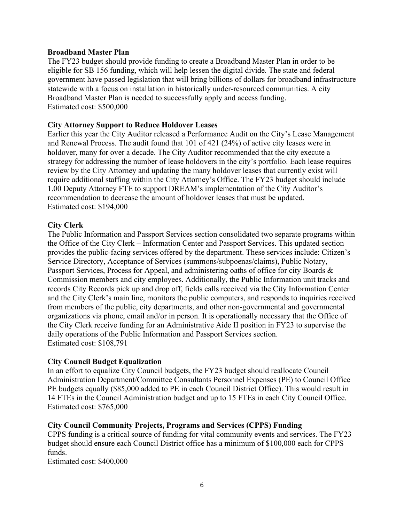#### **Broadband Master Plan**

The FY23 budget should provide funding to create a Broadband Master Plan in order to be eligible for SB 156 funding, which will help lessen the digital divide. The state and federal government have passed legislation that will bring billions of dollars for broadband infrastructure statewide with a focus on installation in historically under-resourced communities. A city Broadband Master Plan is needed to successfully apply and access funding. Estimated cost: \$500,000

#### **City Attorney Support to Reduce Holdover Leases**

Earlier this year the City Auditor released a Performance Audit on the City's Lease Management and Renewal Process. The audit found that 101 of 421 (24%) of active city leases were in holdover, many for over a decade. The City Auditor recommended that the city execute a strategy for addressing the number of lease holdovers in the city's portfolio. Each lease requires review by the City Attorney and updating the many holdover leases that currently exist will require additional staffing within the City Attorney's Office. The FY23 budget should include 1.00 Deputy Attorney FTE to support DREAM's implementation of the City Auditor's recommendation to decrease the amount of holdover leases that must be updated. Estimated cost: \$194,000

### **City Clerk**

The Public Information and Passport Services section consolidated two separate programs within the Office of the City Clerk – Information Center and Passport Services. This updated section provides the public-facing services offered by the department. These services include: Citizen's Service Directory, Acceptance of Services (summons/subpoenas/claims), Public Notary, Passport Services, Process for Appeal, and administering oaths of office for city Boards & Commission members and city employees. Additionally, the Public Information unit tracks and records City Records pick up and drop off, fields calls received via the City Information Center and the City Clerk's main line, monitors the public computers, and responds to inquiries received from members of the public, city departments, and other non-governmental and governmental organizations via phone, email and/or in person. It is operationally necessary that the Office of the City Clerk receive funding for an Administrative Aide II position in FY23 to supervise the daily operations of the Public Information and Passport Services section. Estimated cost: \$108,791

#### **City Council Budget Equalization**

In an effort to equalize City Council budgets, the FY23 budget should reallocate Council Administration Department/Committee Consultants Personnel Expenses (PE) to Council Office PE budgets equally (\$85,000 added to PE in each Council District Office). This would result in 14 FTEs in the Council Administration budget and up to 15 FTEs in each City Council Office. Estimated cost: \$765,000

#### **City Council Community Projects, Programs and Services (CPPS) Funding**

CPPS funding is a critical source of funding for vital community events and services. The FY23 budget should ensure each Council District office has a minimum of \$100,000 each for CPPS funds.

Estimated cost: \$400,000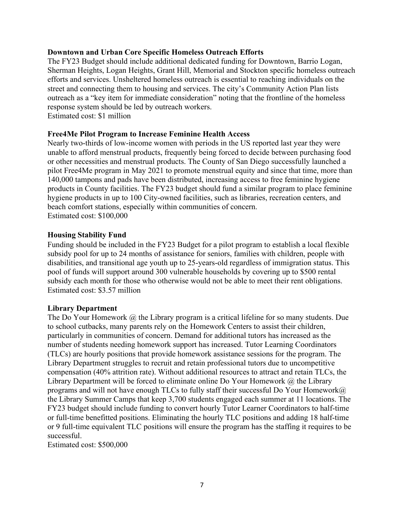#### **Downtown and Urban Core Specific Homeless Outreach Efforts**

The FY23 Budget should include additional dedicated funding for Downtown, Barrio Logan, Sherman Heights, Logan Heights, Grant Hill, Memorial and Stockton specific homeless outreach efforts and services. Unsheltered homeless outreach is essential to reaching individuals on the street and connecting them to housing and services. The city's Community Action Plan lists outreach as a "key item for immediate consideration" noting that the frontline of the homeless response system should be led by outreach workers. Estimated cost: \$1 million

#### **Free4Me Pilot Program to Increase Feminine Health Access**

Nearly two-thirds of low-income women with periods in the US reported last year they were unable to afford menstrual products, frequently being forced to decide between purchasing food or other necessities and menstrual products. The County of San Diego successfully launched a pilot Free4Me program in May 2021 to promote menstrual equity and since that time, more than 140,000 tampons and pads have been distributed, increasing access to free feminine hygiene products in County facilities. The FY23 budget should fund a similar program to place feminine hygiene products in up to 100 City-owned facilities, such as libraries, recreation centers, and beach comfort stations, especially within communities of concern. Estimated cost: \$100,000

#### **Housing Stability Fund**

Funding should be included in the FY23 Budget for a pilot program to establish a local flexible subsidy pool for up to 24 months of assistance for seniors, families with children, people with disabilities, and transitional age youth up to 25-years-old regardless of immigration status. This pool of funds will support around 300 vulnerable households by covering up to \$500 rental subsidy each month for those who otherwise would not be able to meet their rent obligations. Estimated cost: \$3.57 million

#### **Library Department**

The Do Your Homework  $\omega$  the Library program is a critical lifeline for so many students. Due to school cutbacks, many parents rely on the Homework Centers to assist their children, particularly in communities of concern. Demand for additional tutors has increased as the number of students needing homework support has increased. Tutor Learning Coordinators (TLCs) are hourly positions that provide homework assistance sessions for the program. The Library Department struggles to recruit and retain professional tutors due to uncompetitive compensation (40% attrition rate). Without additional resources to attract and retain TLCs, the Library Department will be forced to eliminate online Do Your Homework @ the Library programs and will not have enough TLCs to fully staff their successful Do Your Homework $@$ the Library Summer Camps that keep 3,700 students engaged each summer at 11 locations. The FY23 budget should include funding to convert hourly Tutor Learner Coordinators to half-time or full-time benefitted positions. Eliminating the hourly TLC positions and adding 18 half-time or 9 full-time equivalent TLC positions will ensure the program has the staffing it requires to be successful.

Estimated cost: \$500,000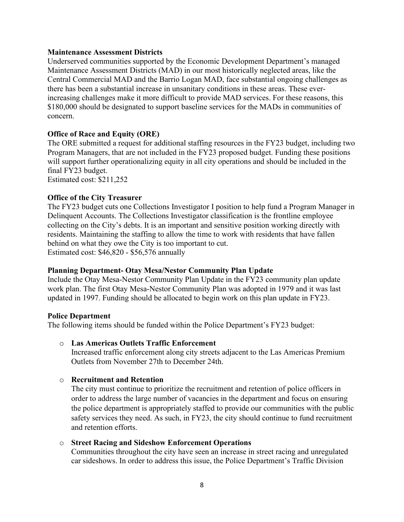#### **Maintenance Assessment Districts**

Underserved communities supported by the Economic Development Department's managed Maintenance Assessment Districts (MAD) in our most historically neglected areas, like the Central Commercial MAD and the Barrio Logan MAD, face substantial ongoing challenges as there has been a substantial increase in unsanitary conditions in these areas. These everincreasing challenges make it more difficult to provide MAD services. For these reasons, this \$180,000 should be designated to support baseline services for the MADs in communities of concern.

### **Office of Race and Equity (ORE)**

The ORE submitted a request for additional staffing resources in the FY23 budget, including two Program Managers, that are not included in the FY23 proposed budget. Funding these positions will support further operationalizing equity in all city operations and should be included in the final FY23 budget.

Estimated cost: \$211,252

#### **Office of the City Treasurer**

The FY23 budget cuts one Collections Investigator I position to help fund a Program Manager in Delinquent Accounts. The Collections Investigator classification is the frontline employee collecting on the City's debts. It is an important and sensitive position working directly with residents. Maintaining the staffing to allow the time to work with residents that have fallen behind on what they owe the City is too important to cut. Estimated cost: \$46,820 - \$56,576 annually

#### **Planning Department- Otay Mesa/Nestor Community Plan Update**

Include the Otay Mesa-Nestor Community Plan Update in the FY23 community plan update work plan. The first Otay Mesa-Nestor Community Plan was adopted in 1979 and it was last updated in 1997. Funding should be allocated to begin work on this plan update in FY23.

#### **Police Department**

The following items should be funded within the Police Department's FY23 budget:

#### o **Las Americas Outlets Traffic Enforcement**

Increased traffic enforcement along city streets adjacent to the Las Americas Premium Outlets from November 27th to December 24th.

#### o **Recruitment and Retention**

The city must continue to prioritize the recruitment and retention of police officers in order to address the large number of vacancies in the department and focus on ensuring the police department is appropriately staffed to provide our communities with the public safety services they need. As such, in FY23, the city should continue to fund recruitment and retention efforts.

#### o **Street Racing and Sideshow Enforcement Operations**

Communities throughout the city have seen an increase in street racing and unregulated car sideshows. In order to address this issue, the Police Department's Traffic Division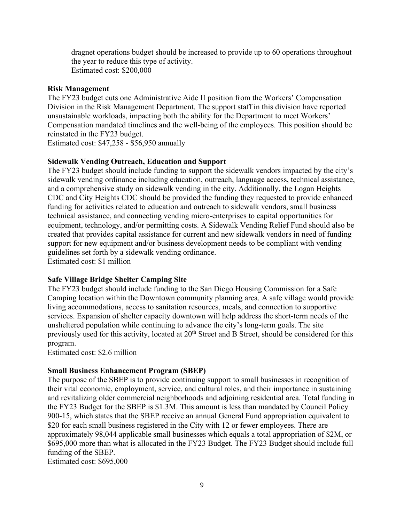dragnet operations budget should be increased to provide up to 60 operations throughout the year to reduce this type of activity. Estimated cost: \$200,000

#### **Risk Management**

The FY23 budget cuts one Administrative Aide II position from the Workers' Compensation Division in the Risk Management Department. The support staff in this division have reported unsustainable workloads, impacting both the ability for the Department to meet Workers' Compensation mandated timelines and the well-being of the employees. This position should be reinstated in the FY23 budget.

Estimated cost: \$47,258 - \$56,950 annually

#### **Sidewalk Vending Outreach, Education and Support**

The FY23 budget should include funding to support the sidewalk vendors impacted by the city's sidewalk vending ordinance including education, outreach, language access, technical assistance, and a comprehensive study on sidewalk vending in the city. Additionally, the Logan Heights CDC and City Heights CDC should be provided the funding they requested to provide enhanced funding for activities related to education and outreach to sidewalk vendors, small business technical assistance, and connecting vending micro-enterprises to capital opportunities for equipment, technology, and/or permitting costs. A Sidewalk Vending Relief Fund should also be created that provides capital assistance for current and new sidewalk vendors in need of funding support for new equipment and/or business development needs to be compliant with vending guidelines set forth by a sidewalk vending ordinance. Estimated cost: \$1 million

#### **Safe Village Bridge Shelter Camping Site**

The FY23 budget should include funding to the San Diego Housing Commission for a Safe Camping location within the Downtown community planning area. A safe village would provide living accommodations, access to sanitation resources, meals, and connection to supportive services. Expansion of shelter capacity downtown will help address the short-term needs of the unsheltered population while continuing to advance the city's long-term goals. The site previously used for this activity, located at 20<sup>th</sup> Street and B Street, should be considered for this program.

Estimated cost: \$2.6 million

#### **Small Business Enhancement Program (SBEP)**

The purpose of the SBEP is to provide continuing support to small businesses in recognition of their vital economic, employment, service, and cultural roles, and their importance in sustaining and revitalizing older commercial neighborhoods and adjoining residential area. Total funding in the FY23 Budget for the SBEP is \$1.3M. This amount is less than mandated by Council Policy 900-15, which states that the SBEP receive an annual General Fund appropriation equivalent to \$20 for each small business registered in the City with 12 or fewer employees. There are approximately 98,044 applicable small businesses which equals a total appropriation of \$2M, or \$695,000 more than what is allocated in the FY23 Budget. The FY23 Budget should include full funding of the SBEP.

Estimated cost: \$695,000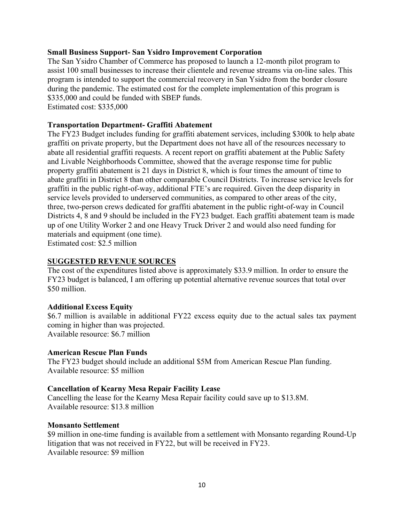#### **Small Business Support- San Ysidro Improvement Corporation**

The San Ysidro Chamber of Commerce has proposed to launch a 12-month pilot program to assist 100 small businesses to increase their clientele and revenue streams via on-line sales. This program is intended to support the commercial recovery in San Ysidro from the border closure during the pandemic. The estimated cost for the complete implementation of this program is \$335,000 and could be funded with SBEP funds. Estimated cost: \$335,000

#### **Transportation Department- Graffiti Abatement**

The FY23 Budget includes funding for graffiti abatement services, including \$300k to help abate graffiti on private property, but the Department does not have all of the resources necessary to abate all residential graffiti requests. A recent report on graffiti abatement at the Public Safety and Livable Neighborhoods Committee, showed that the average response time for public property graffiti abatement is 21 days in District 8, which is four times the amount of time to abate graffiti in District 8 than other comparable Council Districts. To increase service levels for graffiti in the public right-of-way, additional FTE's are required. Given the deep disparity in service levels provided to underserved communities, as compared to other areas of the city, three, two-person crews dedicated for graffiti abatement in the public right-of-way in Council Districts 4, 8 and 9 should be included in the FY23 budget. Each graffiti abatement team is made up of one Utility Worker 2 and one Heavy Truck Driver 2 and would also need funding for materials and equipment (one time).

Estimated cost: \$2.5 million

### **SUGGESTED REVENUE SOURCES**

The cost of the expenditures listed above is approximately \$33.9 million. In order to ensure the FY23 budget is balanced, I am offering up potential alternative revenue sources that total over \$50 million.

#### **Additional Excess Equity**

\$6.7 million is available in additional FY22 excess equity due to the actual sales tax payment coming in higher than was projected. Available resource: \$6.7 million

# **American Rescue Plan Funds**

The FY23 budget should include an additional \$5M from American Rescue Plan funding. Available resource: \$5 million

#### **Cancellation of Kearny Mesa Repair Facility Lease**

Cancelling the lease for the Kearny Mesa Repair facility could save up to \$13.8M. Available resource: \$13.8 million

#### **Monsanto Settlement**

\$9 million in one-time funding is available from a settlement with Monsanto regarding Round-Up litigation that was not received in FY22, but will be received in FY23. Available resource: \$9 million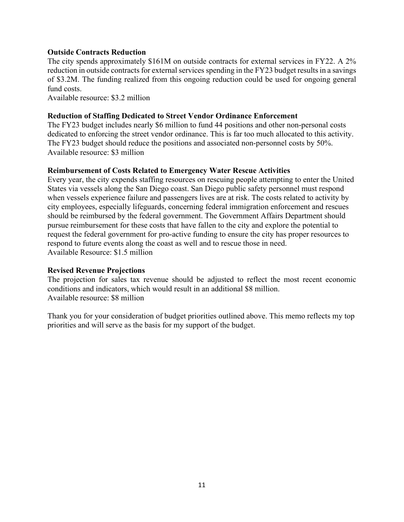#### **Outside Contracts Reduction**

The city spends approximately \$161M on outside contracts for external services in FY22. A 2% reduction in outside contracts for external services spending in the FY23 budget results in a savings of \$3.2M. The funding realized from this ongoing reduction could be used for ongoing general fund costs.

Available resource: \$3.2 million

### **Reduction of Staffing Dedicated to Street Vendor Ordinance Enforcement**

The FY23 budget includes nearly \$6 million to fund 44 positions and other non-personal costs dedicated to enforcing the street vendor ordinance. This is far too much allocated to this activity. The FY23 budget should reduce the positions and associated non-personnel costs by 50%. Available resource: \$3 million

### **Reimbursement of Costs Related to Emergency Water Rescue Activities**

Every year, the city expends staffing resources on rescuing people attempting to enter the United States via vessels along the San Diego coast. San Diego public safety personnel must respond when vessels experience failure and passengers lives are at risk. The costs related to activity by city employees, especially lifeguards, concerning federal immigration enforcement and rescues should be reimbursed by the federal government. The Government Affairs Department should pursue reimbursement for these costs that have fallen to the city and explore the potential to request the federal government for pro-active funding to ensure the city has proper resources to respond to future events along the coast as well and to rescue those in need. Available Resource: \$1.5 million

#### **Revised Revenue Projections**

The projection for sales tax revenue should be adjusted to reflect the most recent economic conditions and indicators, which would result in an additional \$8 million. Available resource: \$8 million

Thank you for your consideration of budget priorities outlined above. This memo reflects my top priorities and will serve as the basis for my support of the budget.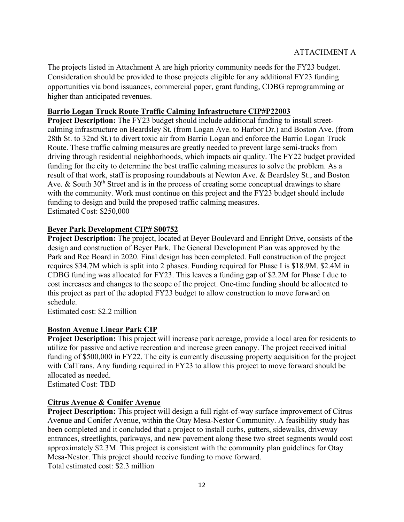The projects listed in Attachment A are high priority community needs for the FY23 budget. Consideration should be provided to those projects eligible for any additional FY23 funding opportunities via bond issuances, commercial paper, grant funding, CDBG reprogramming or higher than anticipated revenues.

## **Barrio Logan Truck Route Traffic Calming Infrastructure CIP#P22003**

**Project Description:** The FY23 budget should include additional funding to install streetcalming infrastructure on Beardsley St. (from Logan Ave. to Harbor Dr.) and Boston Ave. (from 28th St. to 32nd St.) to divert toxic air from Barrio Logan and enforce the Barrio Logan Truck Route. These traffic calming measures are greatly needed to prevent large semi-trucks from driving through residential neighborhoods, which impacts air quality. The FY22 budget provided funding for the city to determine the best traffic calming measures to solve the problem. As a result of that work, staff is proposing roundabouts at Newton Ave. & Beardsley St., and Boston Ave. & South  $30<sup>th</sup>$  Street and is in the process of creating some conceptual drawings to share with the community. Work must continue on this project and the FY23 budget should include funding to design and build the proposed traffic calming measures. Estimated Cost: \$250,000

## **Beyer Park Development CIP# S00752**

**Project Description:** The project, located at Beyer Boulevard and Enright Drive, consists of the design and construction of Beyer Park. The General Development Plan was approved by the Park and Rec Board in 2020. Final design has been completed. Full construction of the project requires \$34.7M which is split into 2 phases. Funding required for Phase I is \$18.9M. \$2.4M in CDBG funding was allocated for FY23. This leaves a funding gap of \$2.2M for Phase I due to cost increases and changes to the scope of the project. One-time funding should be allocated to this project as part of the adopted FY23 budget to allow construction to move forward on schedule.

Estimated cost: \$2.2 million

## **Boston Avenue Linear Park CIP**

**Project Description:** This project will increase park acreage, provide a local area for residents to utilize for passive and active recreation and increase green canopy. The project received initial funding of \$500,000 in FY22. The city is currently discussing property acquisition for the project with CalTrans. Any funding required in FY23 to allow this project to move forward should be allocated as needed.

Estimated Cost: TBD

## **Citrus Avenue & Conifer Avenue**

**Project Description:** This project will design a full right-of-way surface improvement of Citrus Avenue and Conifer Avenue, within the Otay Mesa-Nestor Community. A feasibility study has been completed and it concluded that a project to install curbs, gutters, sidewalks, driveway entrances, streetlights, parkways, and new pavement along these two street segments would cost approximately \$2.3M. This project is consistent with the community plan guidelines for Otay Mesa-Nestor. This project should receive funding to move forward. Total estimated cost: \$2.3 million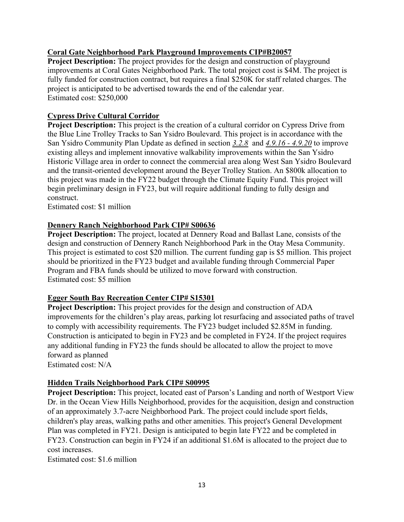## **Coral Gate Neighborhood Park Playground Improvements CIP#B20057**

**Project Description:** The project provides for the design and construction of playground improvements at Coral Gates Neighborhood Park. The total project cost is \$4M. The project is fully funded for construction contract, but requires a final \$250K for staff related charges. The project is anticipated to be advertised towards the end of the calendar year. Estimated cost: \$250,000

## **Cypress Drive Cultural Corridor**

**Project Description:** This project is the creation of a cultural corridor on Cypress Drive from the Blue Line Trolley Tracks to San Ysidro Boulevard. This project is in accordance with the San Ysidro Community Plan Update as defined in section *3.2.8* and *4.9.16 - 4.9.20* to improve existing alleys and implement innovative walkability improvements within the San Ysidro Historic Village area in order to connect the commercial area along West San Ysidro Boulevard and the transit-oriented development around the Beyer Trolley Station. An \$800k allocation to this project was made in the FY22 budget through the Climate Equity Fund. This project will begin preliminary design in FY23, but will require additional funding to fully design and construct.

Estimated cost: \$1 million

## **Dennery Ranch Neighborhood Park CIP# S00636**

**Project Description:** The project, located at Dennery Road and Ballast Lane, consists of the design and construction of Dennery Ranch Neighborhood Park in the Otay Mesa Community. This project is estimated to cost \$20 million. The current funding gap is \$5 million. This project should be prioritized in the FY23 budget and available funding through Commercial Paper Program and FBA funds should be utilized to move forward with construction. Estimated cost: \$5 million

## **Egger South Bay Recreation Center CIP# S15301**

**Project Description:** This project provides for the design and construction of ADA improvements for the children's play areas, parking lot resurfacing and associated paths of travel to comply with accessibility requirements. The FY23 budget included \$2.85M in funding. Construction is anticipated to begin in FY23 and be completed in FY24. If the project requires any additional funding in FY23 the funds should be allocated to allow the project to move forward as planned

Estimated cost: N/A

## **Hidden Trails Neighborhood Park CIP# S00995**

**Project Description:** This project, located east of Parson's Landing and north of Westport View Dr. in the Ocean View Hills Neighborhood, provides for the acquisition, design and construction of an approximately 3.7-acre Neighborhood Park. The project could include sport fields, children's play areas, walking paths and other amenities. This project's General Development Plan was completed in FY21. Design is anticipated to begin late FY22 and be completed in FY23. Construction can begin in FY24 if an additional \$1.6M is allocated to the project due to cost increases.

Estimated cost: \$1.6 million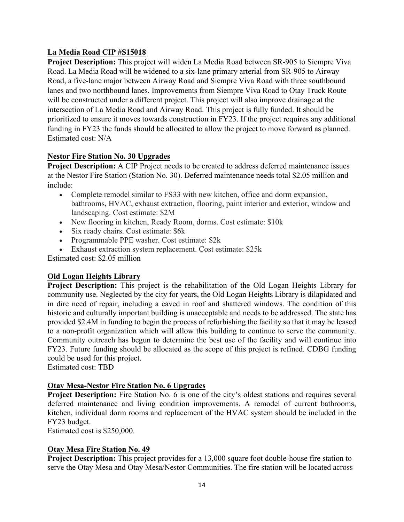# **La Media Road CIP #S15018**

**Project Description:** This project will widen La Media Road between SR-905 to Siempre Viva Road. La Media Road will be widened to a six-lane primary arterial from SR-905 to Airway Road, a five-lane major between Airway Road and Siempre Viva Road with three southbound lanes and two northbound lanes. Improvements from Siempre Viva Road to Otay Truck Route will be constructed under a different project. This project will also improve drainage at the intersection of La Media Road and Airway Road. This project is fully funded. It should be prioritized to ensure it moves towards construction in FY23. If the project requires any additional funding in FY23 the funds should be allocated to allow the project to move forward as planned. Estimated cost: N/A

## **Nestor Fire Station No. 30 Upgrades**

**Project Description:** A CIP Project needs to be created to address deferred maintenance issues at the Nestor Fire Station (Station No. 30). Deferred maintenance needs total \$2.05 million and include:

- Complete remodel similar to FS33 with new kitchen, office and dorm expansion, bathrooms, HVAC, exhaust extraction, flooring, paint interior and exterior, window and landscaping. Cost estimate: \$2M
- New flooring in kitchen, Ready Room, dorms. Cost estimate: \$10k
- Six ready chairs. Cost estimate: \$6k
- Programmable PPE washer. Cost estimate: \$2k
- Exhaust extraction system replacement. Cost estimate: \$25k

Estimated cost: \$2.05 million

# **Old Logan Heights Library**

**Project Description:** This project is the rehabilitation of the Old Logan Heights Library for community use. Neglected by the city for years, the Old Logan Heights Library is dilapidated and in dire need of repair, including a caved in roof and shattered windows. The condition of this historic and culturally important building is unacceptable and needs to be addressed. The state has provided \$2.4M in funding to begin the process of refurbishing the facility so that it may be leased to a non-profit organization which will allow this building to continue to serve the community. Community outreach has begun to determine the best use of the facility and will continue into FY23. Future funding should be allocated as the scope of this project is refined. CDBG funding could be used for this project.

Estimated cost: TBD

## **Otay Mesa-Nestor Fire Station No. 6 Upgrades**

**Project Description:** Fire Station No. 6 is one of the city's oldest stations and requires several deferred maintenance and living condition improvements. A remodel of current bathrooms, kitchen, individual dorm rooms and replacement of the HVAC system should be included in the FY23 budget.

Estimated cost is \$250,000.

## **Otay Mesa Fire Station No. 49**

**Project Description:** This project provides for a 13,000 square foot double-house fire station to serve the Otay Mesa and Otay Mesa/Nestor Communities. The fire station will be located across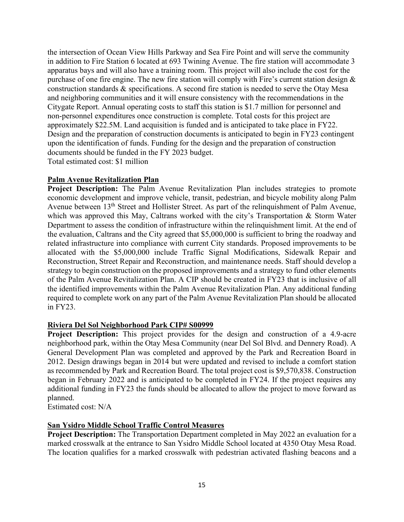the intersection of Ocean View Hills Parkway and Sea Fire Point and will serve the community in addition to Fire Station 6 located at 693 Twining Avenue. The fire station will accommodate 3 apparatus bays and will also have a training room. This project will also include the cost for the purchase of one fire engine. The new fire station will comply with Fire's current station design & construction standards & specifications. A second fire station is needed to serve the Otay Mesa and neighboring communities and it will ensure consistency with the recommendations in the Citygate Report. Annual operating costs to staff this station is \$1.7 million for personnel and non-personnel expenditures once construction is complete. Total costs for this project are approximately \$22.5M. Land acquisition is funded and is anticipated to take place in FY22. Design and the preparation of construction documents is anticipated to begin in FY23 contingent upon the identification of funds. Funding for the design and the preparation of construction documents should be funded in the FY 2023 budget. Total estimated cost: \$1 million

## **Palm Avenue Revitalization Plan**

**Project Description:** The Palm Avenue Revitalization Plan includes strategies to promote economic development and improve vehicle, transit, pedestrian, and bicycle mobility along Palm Avenue between 13<sup>th</sup> Street and Hollister Street. As part of the relinquishment of Palm Avenue, which was approved this May, Caltrans worked with the city's Transportation & Storm Water Department to assess the condition of infrastructure within the relinquishment limit. At the end of the evaluation, Caltrans and the City agreed that \$5,000,000 is sufficient to bring the roadway and related infrastructure into compliance with current City standards. Proposed improvements to be allocated with the \$5,000,000 include Traffic Signal Modifications, Sidewalk Repair and Reconstruction, Street Repair and Reconstruction, and maintenance needs. Staff should develop a strategy to begin construction on the proposed improvements and a strategy to fund other elements of the Palm Avenue Revitalization Plan. A CIP should be created in FY23 that is inclusive of all the identified improvements within the Palm Avenue Revitalization Plan. Any additional funding required to complete work on any part of the Palm Avenue Revitalization Plan should be allocated in FY23.

## **Riviera Del Sol Neighborhood Park CIP# S00999**

**Project Description:** This project provides for the design and construction of a 4.9-acre neighborhood park, within the Otay Mesa Community (near Del Sol Blvd. and Dennery Road). A General Development Plan was completed and approved by the Park and Recreation Board in 2012. Design drawings began in 2014 but were updated and revised to include a comfort station as recommended by Park and Recreation Board. The total project cost is \$9,570,838. Construction began in February 2022 and is anticipated to be completed in FY24. If the project requires any additional funding in FY23 the funds should be allocated to allow the project to move forward as planned.

Estimated cost: N/A

## **San Ysidro Middle School Traffic Control Measures**

**Project Description:** The Transportation Department completed in May 2022 an evaluation for a marked crosswalk at the entrance to San Ysidro Middle School located at 4350 Otay Mesa Road. The location qualifies for a marked crosswalk with pedestrian activated flashing beacons and a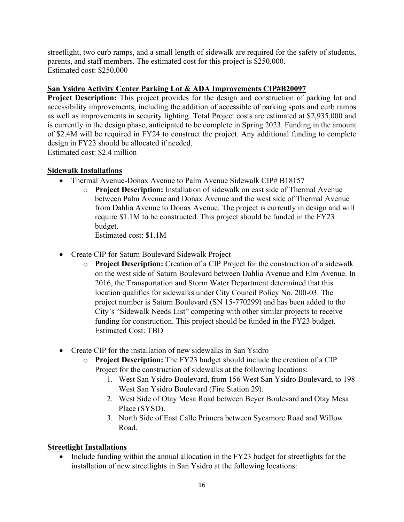streetlight, two curb ramps, and a small length of sidewalk are required for the safety of students, parents, and staff members. The estimated cost for this project is \$250,000. Estimated cost: \$250,000

# **San Ysidro Activity Center Parking Lot & ADA Improvements CIP#B20097**

**Project Description:** This project provides for the design and construction of parking lot and accessibility improvements, including the addition of accessible of parking spots and curb ramps as well as improvements in security lighting. Total Project costs are estimated at \$2,935,000 and is currently in the design phase, anticipated to be complete in Spring 2023. Funding in the amount of \$2.4M will be required in FY24 to construct the project. Any additional funding to complete design in FY23 should be allocated if needed.

Estimated cost: \$2.4 million

# **Sidewalk Installations**

- Thermal Avenue-Donax Avenue to Palm Avenue Sidewalk CIP# B18157
	- o **Project Description:** Installation of sidewalk on east side of Thermal Avenue between Palm Avenue and Donax Avenue and the west side of Thermal Avenue from Dahlia Avenue to Donax Avenue. The project is currently in design and will require \$1.1M to be constructed. This project should be funded in the FY23 budget. Estimated cost: \$1.1M
- Create CIP for Saturn Boulevard Sidewalk Project
	- o **Project Description:** Creation of a CIP Project for the construction of a sidewalk on the west side of Saturn Boulevard between Dahlia Avenue and Elm Avenue. In 2016, the Transportation and Storm Water Department determined that this location qualifies for sidewalks under City Council Policy No. 200-03. The project number is Saturn Boulevard (SN 15-770299) and has been added to the City's "Sidewalk Needs List" competing with other similar projects to receive funding for construction. This project should be funded in the FY23 budget. Estimated Cost: TBD
- Create CIP for the installation of new sidewalks in San Ysidro
	- o **Project Description:** The FY23 budget should include the creation of a CIP Project for the construction of sidewalks at the following locations:
		- 1. West San Ysidro Boulevard, from 156 West San Ysidro Boulevard, to 198 West San Ysidro Boulevard (Fire Station 29).
		- 2. West Side of Otay Mesa Road between Beyer Boulevard and Otay Mesa Place (SYSD).
		- 3. North Side of East Calle Primera between Sycamore Road and Willow Road.

# **Streetlight Installations**

• Include funding within the annual allocation in the FY23 budget for streetlights for the installation of new streetlights in San Ysidro at the following locations: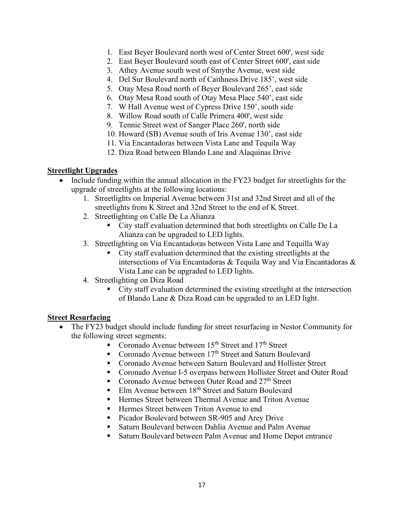- 1. East Beyer Boulevard north west of Center Street 600', west side
- 2. East Beyer Boulevard south east of Center Street 600', east side
- 3. Athey Avenue south west of Smythe Avenue, west side
- 4. Del Sur Boulevard north of Caithness Drive 185', west side
- 5. Otay Mesa Road north of Beyer Boulevard 265', east side
- 6. Otay Mesa Road south of Otay Mesa Place 540', east side
- 7. W Hall Avenue west of Cypress Drive 150', south side
- 8. Willow Road south of Calle Primera 400', west side
- 9. Tennie Street west of Sanger Place 260', north side
- 10. Howard (SB) Avenue south of Iris Avenue 130', east side
- 11. Via Encantadoras between Vista Lane and Tequila Way
- 12. Diza Road between Blando Lane and Alaquinas Drive

### **Streetlight Upgrades**

- Include funding within the annual allocation in the FY23 budget for streetlights for the upgrade of streetlights at the following locations:
	- 1. Streetlights on Imperial Avenue between 31st and 32nd Street and all of the streetlights from K Street and 32nd Street to the end of K Street.
	- 2. Streetlighting on Calle De La Alianza
		- City staff evaluation determined that both streetlights on Calle De La Alianza can be upgraded to LED lights.
	- 3. Streetlighting on Via Encantadoras between Vista Lane and Tequilla Way
		- City staff evaluation determined that the existing streetlights at the intersections of Via Encantadoras & Tequila Way and Via Encantadoras & Vista Lane can be upgraded to LED lights.
	- 4. Streetlighting on Diza Road
		- City staff evaluation determined the existing streetlight at the intersection of Blando Lane & Diza Road can be upgraded to an LED light.

## **Street Resurfacing**

- The FY23 budget should include funding for street resurfacing in Nestor Community for the following street segments:
	- Coronado Avenue between  $15<sup>th</sup>$  Street and  $17<sup>th</sup>$  Street
	- Coronado Avenue between  $17<sup>th</sup>$  Street and Saturn Boulevard
	- Coronado Avenue between Saturn Boulevard and Hollister Street
	- Coronado Avenue I-5 overpass between Hollister Street and Outer Road
	- Coronado Avenue between Outer Road and 27<sup>th</sup> Street
	- Elm Avenue between  $18<sup>th</sup>$  Street and Saturn Boulevard
	- Hermes Street between Thermal Avenue and Triton Avenue
	- Hermes Street between Triton Avenue to end
	- Picador Boulevard between SR-905 and Arey Drive
	- Saturn Boulevard between Dahlia Avenue and Palm Avenue
	- Saturn Boulevard between Palm Avenue and Home Depot entrance